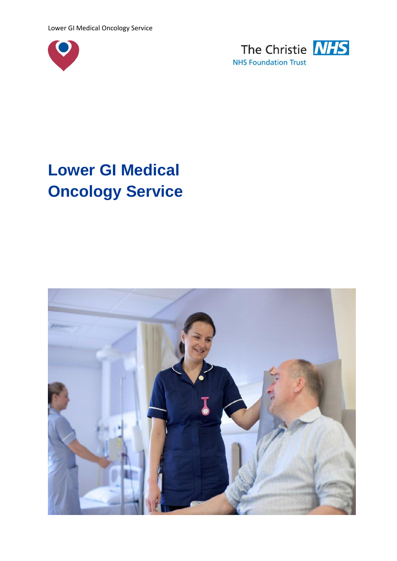



# **Lower GI Medical Oncology Service**

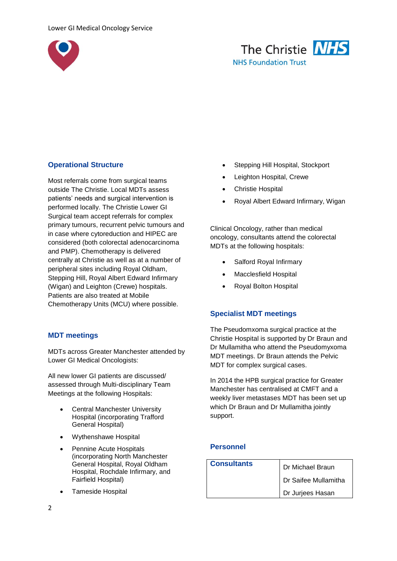



# **Operational Structure**

Most referrals come from surgical teams outside The Christie. Local MDTs assess patients' needs and surgical intervention is performed locally. The Christie Lower GI Surgical team accept referrals for complex primary tumours, recurrent pelvic tumours and in case where cytoreduction and HIPEC are considered (both colorectal adenocarcinoma and PMP). Chemotherapy is delivered centrally at Christie as well as at a number of peripheral sites including Royal Oldham, Stepping Hill, Royal Albert Edward Infirmary (Wigan) and Leighton (Crewe) hospitals. Patients are also treated at Mobile Chemotherapy Units (MCU) where possible.

## **MDT meetings**

MDTs across Greater Manchester attended by Lower GI Medical Oncologists:

All new lower GI patients are discussed/ assessed through Multi-disciplinary Team Meetings at the following Hospitals:

- Central Manchester University Hospital (incorporating Trafford General Hospital)
- Wythenshawe Hospital
- Pennine Acute Hospitals (incorporating North Manchester General Hospital, Royal Oldham Hospital, Rochdale Infirmary, and Fairfield Hospital)
- Tameside Hospital
- Stepping Hill Hospital, Stockport
- Leighton Hospital, Crewe
- Christie Hospital
- Royal Albert Edward Infirmary, Wigan

Clinical Oncology, rather than medical oncology, consultants attend the colorectal MDTs at the following hospitals:

- Salford Royal Infirmary
- Macclesfield Hospital
- Royal Bolton Hospital

#### **Specialist MDT meetings**

The Pseudomxoma surgical practice at the Christie Hospital is supported by Dr Braun and Dr Mullamitha who attend the Pseudomyxoma MDT meetings. Dr Braun attends the Pelvic MDT for complex surgical cases.

In 2014 the HPB surgical practice for Greater Manchester has centralised at CMFT and a weekly liver metastases MDT has been set up which Dr Braun and Dr Mullamitha jointly support.

#### **Personnel**

| <b>Consultants</b> | Dr Michael Braun     |
|--------------------|----------------------|
|                    | Dr Saifee Mullamitha |
|                    | Dr Jurjees Hasan     |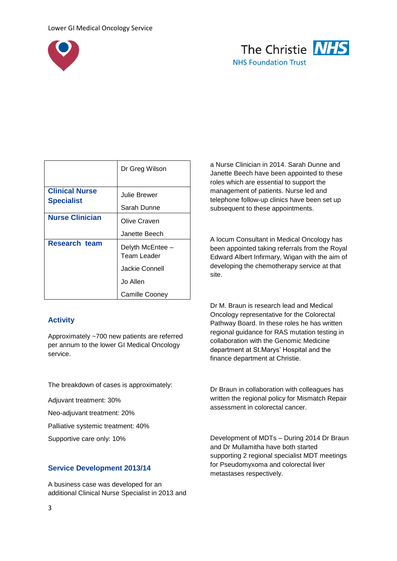



|                                            | Dr Greg Wilson                  |
|--------------------------------------------|---------------------------------|
| <b>Clinical Nurse</b><br><b>Specialist</b> | Julie Brewer                    |
|                                            | Sarah Dunne                     |
| <b>Nurse Clinician</b>                     | Olive Craven                    |
|                                            | Janette Beech                   |
| <b>Research team</b>                       | Delyth McEntee -<br>Team Leader |
|                                            | Jackie Connell                  |
|                                            | Jo Allen                        |
|                                            | <b>Camille Cooney</b>           |

# **Activity**

Approximately ~700 new patients are referred per annum to the lower GI Medical Oncology service.

The breakdown of cases is approximately:

Adjuvant treatment: 30%

Neo-adjuvant treatment: 20%

Palliative systemic treatment: 40%

Supportive care only: 10%

## **Service Development 2013/14**

A business case was developed for an additional Clinical Nurse Specialist in 2013 and a Nurse Clinician in 2014. Sarah Dunne and Janette Beech have been appointed to these roles which are essential to support the management of patients. Nurse led and telephone follow-up clinics have been set up subsequent to these appointments.

A locum Consultant in Medical Oncology has been appointed taking referrals from the Royal Edward Albert Infirmary, Wigan with the aim of developing the chemotherapy service at that site.

Dr M. Braun is research lead and Medical Oncology representative for the Colorectal Pathway Board. In these roles he has written regional guidance for RAS mutation testing in collaboration with the Genomic Medicine department at St.Marys' Hospital and the finance department at Christie.

Dr Braun in collaboration with colleagues has written the regional policy for Mismatch Repair assessment in colorectal cancer.

Development of MDTs – During 2014 Dr Braun and Dr Mullamitha have both started supporting 2 regional specialist MDT meetings for Pseudomyxoma and colorectal liver metastases respectively.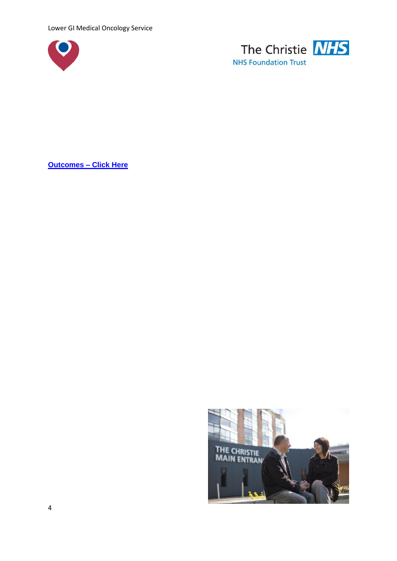Lower GI Medical Oncology Service





**[Outcomes](http://www.christie.nhs.uk/media/835754/ClinicalOutcomesUnitReport_LGI_March2015.pdf) – Click Here**

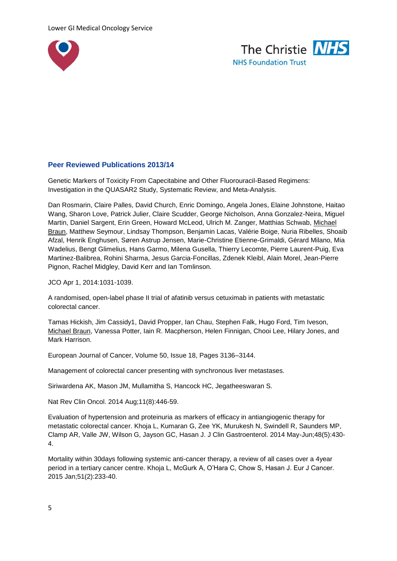



# **Peer Reviewed Publications 2013/14**

Genetic Markers of Toxicity From Capecitabine and Other Fluorouracil-Based Regimens: Investigation in the QUASAR2 Study, Systematic Review, and Meta-Analysis.

Dan Rosmarin, Claire Palles, David Church, Enric Domingo, Angela Jones, Elaine Johnstone, Haitao Wang, Sharon Love, Patrick Julier, Claire Scudder, George Nicholson, Anna Gonzalez-Neira, Miguel Martin, Daniel Sargent, Erin Green, Howard McLeod, Ulrich M. Zanger, Matthias Schwab, Michael Braun, Matthew Seymour, Lindsay Thompson, Benjamin Lacas, Valérie Boige, Nuria Ribelles, Shoaib Afzal, Henrik Enghusen, Søren Astrup Jensen, Marie-Christine Etienne-Grimaldi, Gérard Milano, Mia Wadelius, Bengt Glimelius, Hans Garmo, Milena Gusella, Thierry Lecomte, Pierre Laurent-Puig, Eva Martinez-Balibrea, Rohini Sharma, Jesus Garcia-Foncillas, Zdenek Kleibl, Alain Morel, Jean-Pierre Pignon, Rachel Midgley, David Kerr and Ian Tomlinson.

JCO Apr 1, 2014:1031-1039.

A randomised, open-label phase II trial of afatinib versus cetuximab in patients with metastatic colorectal cancer.

Tamas Hickish, Jim Cassidy1, David Propper, Ian Chau, Stephen Falk, Hugo Ford, Tim Iveson, Michael Braun, Vanessa Potter, Iain R. Macpherson, Helen Finnigan, Chooi Lee, Hilary Jones, and Mark Harrison.

European Journal of Cancer, Volume 50, Issue 18, Pages 3136–3144.

Management of colorectal cancer presenting with synchronous liver metastases.

Siriwardena AK, Mason JM, Mullamitha S, Hancock HC, Jegatheeswaran S.

Nat Rev Clin Oncol. 2014 Aug;11(8):446-59.

Evaluation of hypertension and proteinuria as markers of efficacy in antiangiogenic therapy for metastatic colorectal cancer. Khoja L, Kumaran G, Zee YK, Murukesh N, Swindell R, Saunders MP, Clamp AR, Valle JW, Wilson G, Jayson GC, Hasan J. J Clin Gastroenterol. 2014 May-Jun;48(5):430- 4.

Mortality within 30days following systemic anti-cancer therapy, a review of all cases over a 4year period in a tertiary cancer centre. Khoja L, McGurk A, O'Hara C, Chow S, Hasan J. Eur J Cancer. 2015 Jan;51(2):233-40.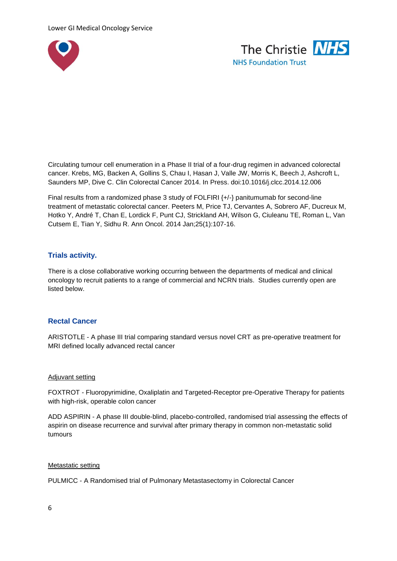



Circulating tumour cell enumeration in a Phase II trial of a four-drug regimen in advanced colorectal cancer. Krebs, MG, Backen A, Gollins S, Chau I, Hasan J, Valle JW, Morris K, Beech J, Ashcroft L, Saunders MP, Dive C. Clin Colorectal Cancer 2014. In Press. doi:10.1016/j.clcc.2014.12.006

Final results from a randomized phase 3 study of FOLFIRI {+/-} panitumumab for second-line treatment of metastatic colorectal cancer. Peeters M, Price TJ, Cervantes A, Sobrero AF, Ducreux M, Hotko Y, André T, Chan E, Lordick F, Punt CJ, Strickland AH, Wilson G, Ciuleanu TE, Roman L, Van Cutsem E, Tian Y, Sidhu R. Ann Oncol. 2014 Jan;25(1):107-16.

## **Trials activity.**

There is a close collaborative working occurring between the departments of medical and clinical oncology to recruit patients to a range of commercial and NCRN trials. Studies currently open are listed below.

#### **Rectal Cancer**

ARISTOTLE - A phase III trial comparing standard versus novel CRT as pre-operative treatment for MRI defined locally advanced rectal cancer

#### Adjuvant setting

FOXTROT - Fluoropyrimidine, Oxaliplatin and Targeted-Receptor pre-Operative Therapy for patients with high-risk, operable colon cancer

ADD ASPIRIN - A phase III double-blind, placebo-controlled, randomised trial assessing the effects of aspirin on disease recurrence and survival after primary therapy in common non-metastatic solid tumours

#### Metastatic setting

PULMICC - A Randomised trial of Pulmonary Metastasectomy in Colorectal Cancer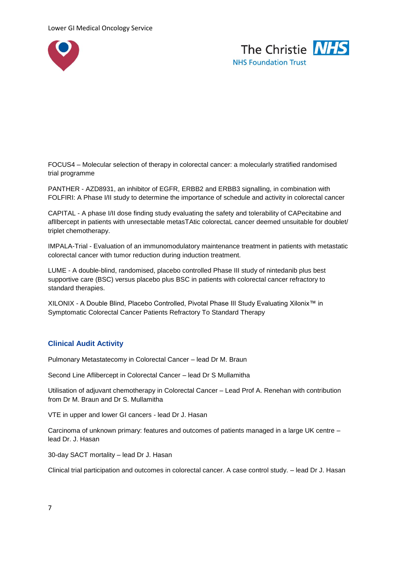



FOCUS4 – Molecular selection of therapy in colorectal cancer: a molecularly stratified randomised trial programme

PANTHER - AZD8931, an inhibitor of EGFR, ERBB2 and ERBB3 signalling, in combination with FOLFIRI: A Phase I/II study to determine the importance of schedule and activity in colorectal cancer

CAPITAL - A phase I/II dose finding study evaluating the safety and tolerability of CAPecitabine and aflIbercept in patients with unresectable metasTAtic colorectaL cancer deemed unsuitable for doublet/ triplet chemotherapy.

IMPALA-Trial - Evaluation of an immunomodulatory maintenance treatment in patients with metastatic colorectal cancer with tumor reduction during induction treatment.

LUME - A double-blind, randomised, placebo controlled Phase III study of nintedanib plus best supportive care (BSC) versus placebo plus BSC in patients with colorectal cancer refractory to standard therapies.

XILONIX - A Double Blind, Placebo Controlled, Pivotal Phase III Study Evaluating Xilonix™ in Symptomatic Colorectal Cancer Patients Refractory To Standard Therapy

## **Clinical Audit Activity**

Pulmonary Metastatecomy in Colorectal Cancer – lead Dr M. Braun

Second Line Aflibercept in Colorectal Cancer – lead Dr S Mullamitha

Utilisation of adjuvant chemotherapy in Colorectal Cancer – Lead Prof A. Renehan with contribution from Dr M. Braun and Dr S. Mullamitha

VTE in upper and lower GI cancers - lead Dr J. Hasan

Carcinoma of unknown primary: features and outcomes of patients managed in a large UK centre – lead Dr. J. Hasan

30-day SACT mortality – lead Dr J. Hasan

Clinical trial participation and outcomes in colorectal cancer. A case control study. – lead Dr J. Hasan